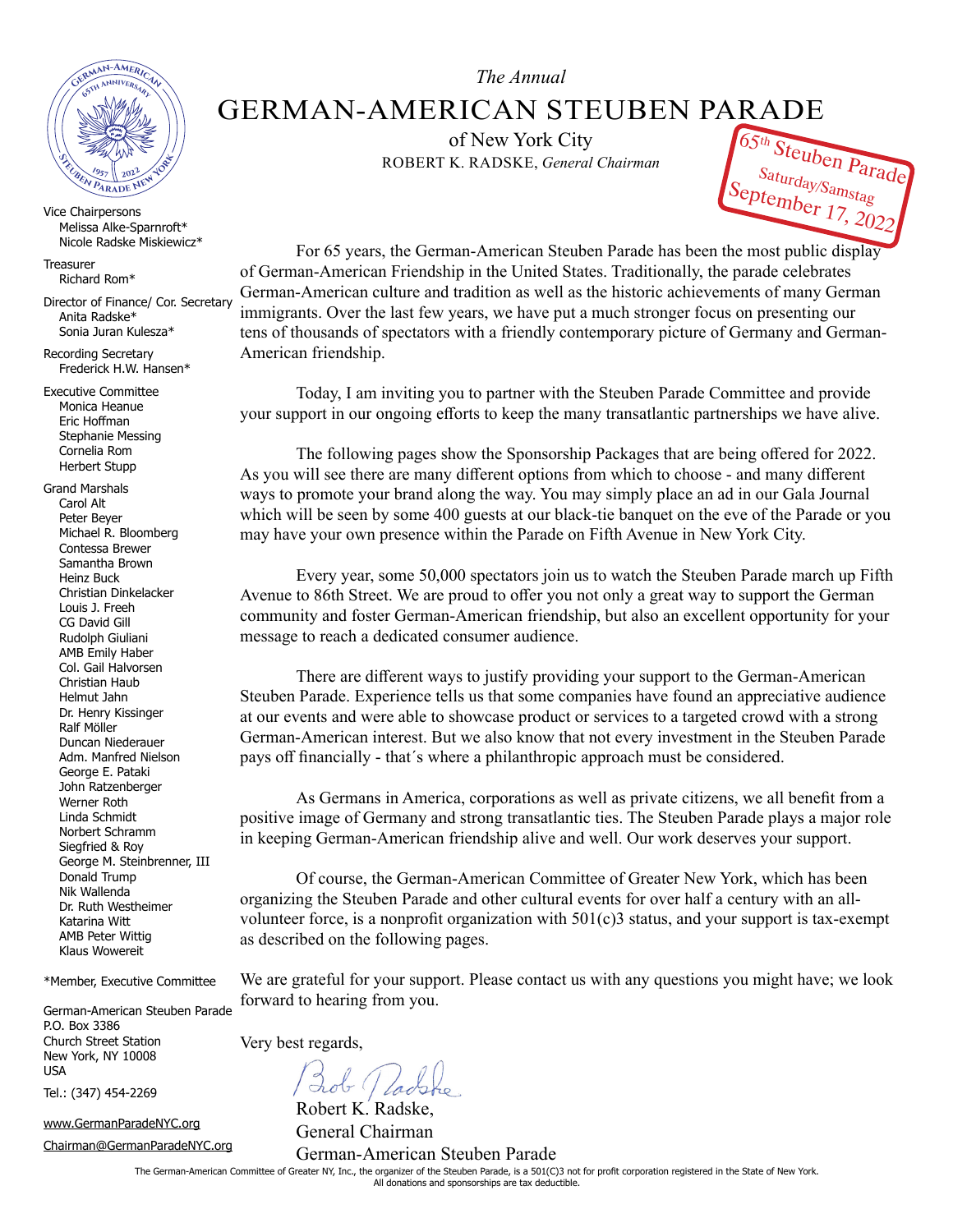

Vice Chairpersons Melissa Alke-Sparnroft\* Nicole Radske Miskiewicz\*

**Treasurer** Richard Rom\*

Director of Finance/ Cor. Secretary Anita Radske\* Sonia Juran Kulesza\*

Recording Secretary Frederick H.W. Hansen\*

Executive Committee Monica Heanue Eric Hoffman Stephanie Messing Cornelia Rom Herbert Stupp

Grand Marshals Carol Alt Peter Beyer Michael R. Bloomberg Contessa Brewer Samantha Brown Heinz Buck Christian Dinkelacker Louis J. Freeh CG David Gill Rudolph Giuliani AMB Emily Haber Col. Gail Halvorsen Christian Haub Helmut Jahn Dr. Henry Kissinger Ralf Möller Duncan Niederauer Adm. Manfred Nielson George E. Pataki John Ratzenberger Werner Roth Linda Schmidt Norbert Schramm Siegfried & Roy George M. Steinbrenner, III Donald Trump Nik Wallenda Dr. Ruth Westheimer Katarina Witt AMB Peter Wittig Klaus Wowereit

\*Member, Executive Committee

German-American Steuben Parade P.O. Box 3386 Church Street Station New York, NY 10008 USA

Tel.: (347) 454-2269

www.GermanParadeNYC.org

Chairman@GermanParadeNYC.org

*The Annual*

GERMAN-AMERICAN STEUBEN PARADE

of New York City ROBERT K. RADSKE, *General Chairman*



For 65 years, the German-American Steuben Parade has been the most public display of German-American Friendship in the United States. Traditionally, the parade celebrates German-American culture and tradition as well as the historic achievements of many German immigrants. Over the last few years, we have put a much stronger focus on presenting our tens of thousands of spectators with a friendly contemporary picture of Germany and German-American friendship.

Today, I am inviting you to partner with the Steuben Parade Committee and provide your support in our ongoing efforts to keep the many transatlantic partnerships we have alive.

The following pages show the Sponsorship Packages that are being offered for 2022. As you will see there are many different options from which to choose - and many different ways to promote your brand along the way. You may simply place an ad in our Gala Journal which will be seen by some 400 guests at our black-tie banquet on the eve of the Parade or you may have your own presence within the Parade on Fifth Avenue in New York City.

Every year, some 50,000 spectators join us to watch the Steuben Parade march up Fifth Avenue to 86th Street. We are proud to offer you not only a great way to support the German community and foster German-American friendship, but also an excellent opportunity for your message to reach a dedicated consumer audience.

There are different ways to justify providing your support to the German-American Steuben Parade. Experience tells us that some companies have found an appreciative audience at our events and were able to showcase product or services to a targeted crowd with a strong German-American interest. But we also know that not every investment in the Steuben Parade pays off financially - that´s where a philanthropic approach must be considered.

As Germans in America, corporations as well as private citizens, we all benefit from a positive image of Germany and strong transatlantic ties. The Steuben Parade plays a major role in keeping German-American friendship alive and well. Our work deserves your support.

Of course, the German-American Committee of Greater New York, which has been organizing the Steuben Parade and other cultural events for over half a century with an allvolunteer force, is a nonprofit organization with 501(c)3 status, and your support is tax-exempt as described on the following pages.

We are grateful for your support. Please contact us with any questions you might have; we look forward to hearing from you.

Very best regards,

Robert K. Radske, General Chairman German-American Steuben Parade

The German-American Committee of Greater NY, Inc., the organizer of the Steuben Parade, is a 501(C)3 not for profit corporation registered in the State of New York. All donations and sponsorships are tax deductible.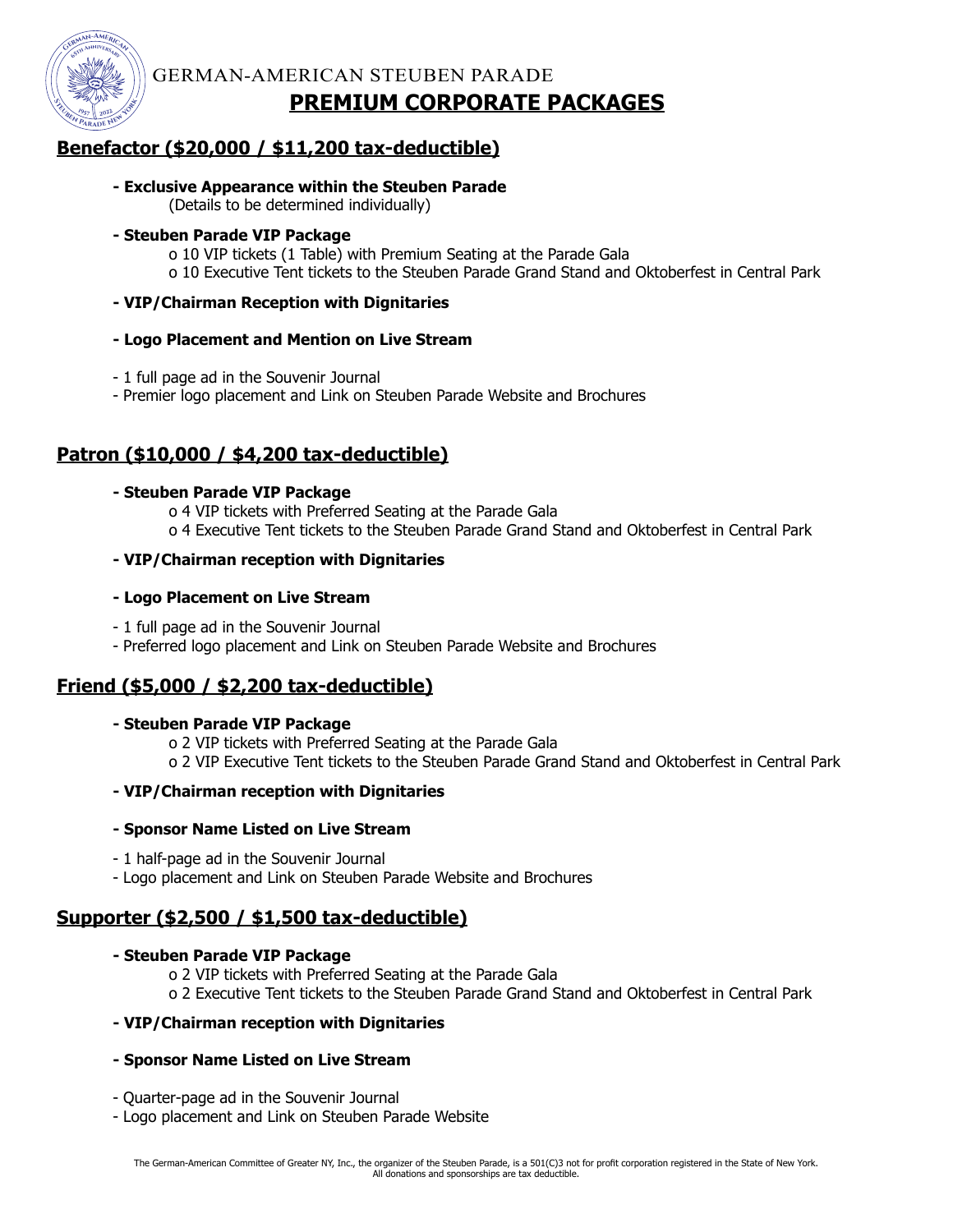

GERMAN-AMERICAN STEUBEN PARADE

# **PREMIUM CORPORATE PACKAGES**

## **Benefactor (\$20,000 / \$11,200 tax-deductible)**

#### **- Exclusive Appearance within the Steuben Parade**

(Details to be determined individually)

#### **- Steuben Parade VIP Package**

o 10 VIP tickets (1 Table) with Premium Seating at the Parade Gala o 10 Executive Tent tickets to the Steuben Parade Grand Stand and Oktoberfest in Central Park

#### **- VIP/Chairman Reception with Dignitaries**

#### **- Logo Placement and Mention on Live Stream**

- 1 full page ad in the Souvenir Journal
- Premier logo placement and Link on Steuben Parade Website and Brochures

## **Patron (\$10,000 / \$4,200 tax-deductible)**

#### **- Steuben Parade VIP Package**

o 4 VIP tickets with Preferred Seating at the Parade Gala

o 4 Executive Tent tickets to the Steuben Parade Grand Stand and Oktoberfest in Central Park

#### **- VIP/Chairman reception with Dignitaries**

#### **- Logo Placement on Live Stream**

- 1 full page ad in the Souvenir Journal
- Preferred logo placement and Link on Steuben Parade Website and Brochures

### **Friend (\$5,000 / \$2,200 tax-deductible)**

#### **- Steuben Parade VIP Package**

o 2 VIP tickets with Preferred Seating at the Parade Gala o 2 VIP Executive Tent tickets to the Steuben Parade Grand Stand and Oktoberfest in Central Park

#### **- VIP/Chairman reception with Dignitaries**

#### **- Sponsor Name Listed on Live Stream**

- 1 half-page ad in the Souvenir Journal
- Logo placement and Link on Steuben Parade Website and Brochures

# **Supporter (\$2,500 / \$1,500 tax-deductible)**

### **- Steuben Parade VIP Package**

o 2 VIP tickets with Preferred Seating at the Parade Gala o 2 Executive Tent tickets to the Steuben Parade Grand Stand and Oktoberfest in Central Park

### **- VIP/Chairman reception with Dignitaries**

### **- Sponsor Name Listed on Live Stream**

- Quarter-page ad in the Souvenir Journal

- Logo placement and Link on Steuben Parade Website